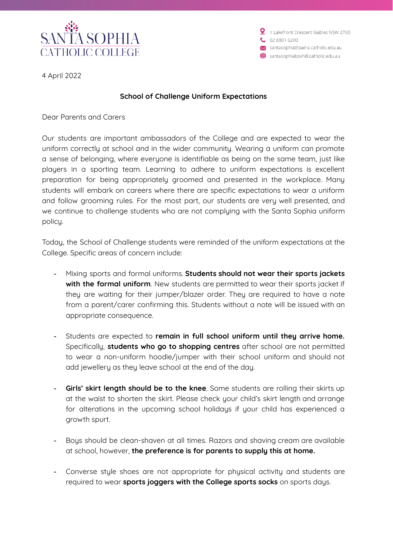

2 1 Lakefront Crescent Gables NSW 2765  $0288016200$ Santasophia@parra.catholic.edu.au santasophiaboxhill.catholic.edu.au

4 April 2022

#### **School of Challenge Uniform Expectations**

Dear Parents and Carers

Our students are important ambassadors of the College and are expected to wear the uniform correctly at school and in the wider community. Wearing a uniform can promote a sense of belonging, where everyone is identifiable as being on the same team, just like players in a sporting team. Learning to adhere to uniform expectations is excellent preparation for being appropriately groomed and presented in the workplace. Many students will embark on careers where there are specific expectations to wear a uniform and follow grooming rules. For the most part, our students are very well presented, and we continue to challenge students who are not complying with the Santa Sophia uniform policy.

Today, the School of Challenge students were reminded of the uniform expectations at the College. Specific areas of concern include:

- Mixing sports and formal uniforms. **Students should not wear their sports jackets with the formal uniform**. New students are permitted to wear their sports jacket if they are waiting for their jumper/blazer order. They are required to have a note from a parent/carer confirming this. Students without a note will be issued with an appropriate consequence.
- Students are expected to **remain in full school uniform until they arrive home.** Specifically, **students who go to shopping centres** after school are not permitted to wear a non-uniform hoodie/jumper with their school uniform and should not add jewellery as they leave school at the end of the day.
- **Girls' skirt length should be to the knee**. Some students are rolling their skirts up at the waist to shorten the skirt. Please check your child's skirt length and arrange for alterations in the upcoming school holidays if your child has experienced a growth spurt.
- Boys should be clean-shaven at all times. Razors and shaving cream are available at school, however, **the preference is for parents to supply this at home.**
- Converse style shoes are not appropriate for physical activity and students are required to wear **sports joggers with the College sports socks** on sports days.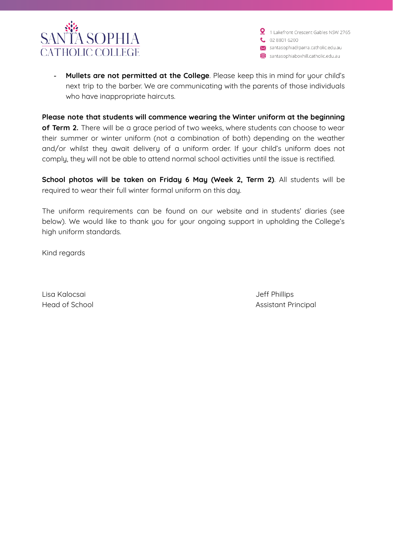

2 1 Lakefront Crescent Gables NSW 2765  $0.288016200$ ></a>santasophia@parra.catholic.edu.au</a> santasophiaboxhill.catholic.edu.au

- **Mullets are not permitted at the College**. Please keep this in mind for your child's next trip to the barber. We are communicating with the parents of those individuals who have inappropriate haircuts.

**Please note that students will commence wearing the Winter uniform at the beginning of Term 2.** There will be a grace period of two weeks, where students can choose to wear their summer or winter uniform (not a combination of both) depending on the weather and/or whilst they await delivery of a uniform order. If your child's uniform does not comply, they will not be able to attend normal school activities until the issue is rectified.

**School photos will be taken on Friday 6 May (Week 2, Term 2)**. All students will be required to wear their full winter formal uniform on this day.

The uniform requirements can be found on our website and in students' diaries (see below). We would like to thank you for your ongoing support in upholding the College's high uniform standards.

Kind regards

Lisa Kalocsai Jeff Phillips

Head of School **Assistant Principal**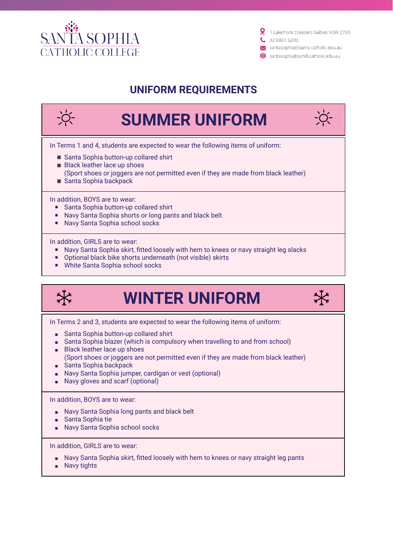



### **UNIFORM REQUIREMENTS**



- 
- Optional black bike shorts underneath (not visible) skirts
- White Santa Sophia school socks



# **WINTER UNIFORM**



In Terms 2 and 3, students are expected to wear the following items of uniform:

- Santa Sophia button-up collared shirt
- Santa Sophia blazer (which is compulsory when travelling to and from school)
- Black leather lace up shoes (Sport shoes or joggers are not permitted even if they are made from black leather)
- Santa Sophia backpack
- Navy Santa Sophia jumper, cardigan or vest (optional)
- Navy gloves and scarf (optional)

In addition, BOYS are to wear:

- Navy Santa Sophia long pants and black belt
- Santa Sophia tie
- Navy Santa Sophia school socks

In addition, GIRLS are to wear:

- Navy Santa Sophia skirt, fitted loosely with hem to knees or navy straight leg pants
- Navy tights